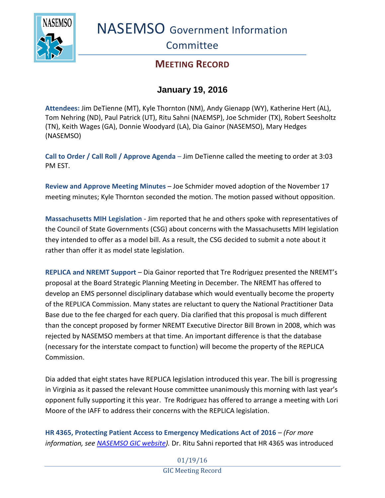

NASEMSO Government Information

**Committee** 

## **MEETING RECORD**

## **January 19, 2016**

**Attendees:** Jim DeTienne (MT), Kyle Thornton (NM), Andy Gienapp (WY), Katherine Hert (AL), Tom Nehring (ND), Paul Patrick (UT), Ritu Sahni (NAEMSP), Joe Schmider (TX), Robert Seesholtz (TN), Keith Wages (GA), Donnie Woodyard (LA), Dia Gainor (NASEMSO), Mary Hedges (NASEMSO)

**Call to Order / Call Roll / Approve Agenda** – Jim DeTienne called the meeting to order at 3:03 PM EST.

**Review and Approve Meeting Minutes** – Joe Schmider moved adoption of the November 17 meeting minutes; Kyle Thornton seconded the motion. The motion passed without opposition.

**Massachusetts MIH Legislation** - Jim reported that he and others spoke with representatives of the Council of State Governments (CSG) about concerns with the Massachusetts MIH legislation they intended to offer as a model bill. As a result, the CSG decided to submit a note about it rather than offer it as model state legislation.

**REPLICA and NREMT Support** – Dia Gainor reported that Tre Rodriguez presented the NREMT's proposal at the Board Strategic Planning Meeting in December. The NREMT has offered to develop an EMS personnel disciplinary database which would eventually become the property of the REPLICA Commission. Many states are reluctant to query the National Practitioner Data Base due to the fee charged for each query. Dia clarified that this proposal is much different than the concept proposed by former NREMT Executive Director Bill Brown in 2008, which was rejected by NASEMSO members at that time. An important difference is that the database (necessary for the interstate compact to function) will become the property of the REPLICA Commission.

Dia added that eight states have REPLICA legislation introduced this year. The bill is progressing in Virginia as it passed the relevant House committee unanimously this morning with last year's opponent fully supporting it this year. Tre Rodriguez has offered to arrange a meeting with Lori Moore of the IAFF to address their concerns with the REPLICA legislation.

**HR 4365, Protecting Patient Access to Emergency Medications Act of 2016** – *(For more information, see [NASEMSO GIC website\)](https://www.nasemso.org/Projects/Legislative-Regulatory-Issues.asp).* Dr. Ritu Sahni reported that HR 4365 was introduced

> 01/19/16 GIC Meeting Record